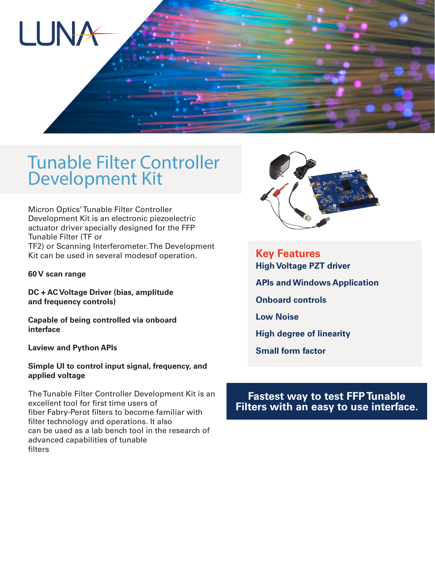

## Tunable Filter Controller Development Kit

Micron Optics' Tunable Filter Controller Development Kit is an electronic piezoelectric actuator driver specially designed for the FFP Tunable Filter (TF or TF2) or Scanning Interferometer. The Development Kit can be used in several modesof operation.

**60 V scan range** 

**DC + AC Voltage Driver (bias, amplitude and frequency controls)**

**Capable of being controlled via onboard interface**

**Laview and Python APIs**

**Simple UI to control input signal, frequency, and applied voltage**

The Tunable Filter Controller Development Kit is an excellent tool for first time users of fiber Fabry-Perot filters to become familiar with filter technology and operations. It also can be used as a lab bench tool in the research of advanced capabilities of tunable filters



**Key Features High Voltage PZT driver APIs and Windows Application**

**Onboard controls**

**Low Noise**

**High degree of linearity**

**Small form factor**

## **Fastest way to test FFP Tunable Filters with an easy to use interface.**